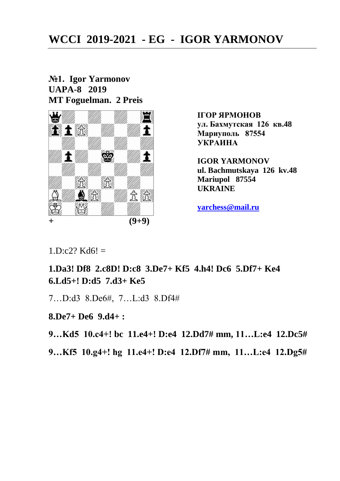# **WCCI 2019-2021 - EG - IGOR YARMONOV**

#### **№1. Igor Yarmonov UAPA-8 2019 MT Foguelman. 2 Preis**



**IГОР ЯРМОНОВ ул. Бахмутская 126 кв.48 Мариуполь 87554 УКРАИНА**

**IGOR YARMONOV ul. Bachmutskaya 126 kv.48 Mariupol 87554 UKRAINE** 

**[yarchess@mail.ru](mailto:yarchess@mail.ru)** 

 $1.D:c2? Kd6! =$ 

## **1.Da3! Df8 2.c8D! D:c8 3.De7+ Kf5 4.h4! Dc6 5.Df7+ Ke4 6.Ld5+! D:d5 7.d3+ Ke5**

7…D:d3 8.De6#, 7…L:d3 8.Df4#

**8.De7+ De6 9.d4+ :**

**9…Kd5 10.c4+! bc 11.e4+! D:e4 12.Dd7# mm, 11…L:e4 12.Dc5#**

**9…Kf5 10.g4+! hg 11.e4+! D:e4 12.Df7# mm, 11…L:e4 12.Dg5#**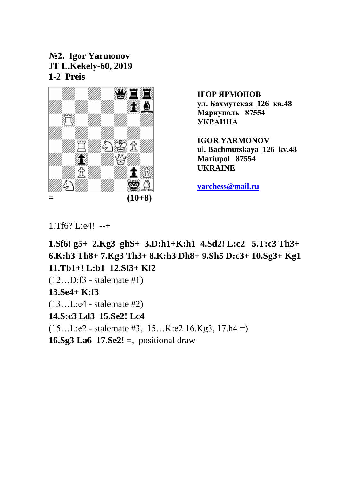**№2. Igor Yarmonov JT L.Kekely-60, 2019 1-2 Preis**



**IGOR YARMONOV ul. Bachmutskaya 126 kv.48 Mariupol 87554 UKRAINE** 

**[yarchess@mail.ru](mailto:yarchess@mail.ru)** 

1.Tf6? L:e4! --+

**1.Sf6! g5+ 2.Kg3 ghS+ 3.D:h1+K:h1 4.Sd2! L:c2 5.T:c3 Th3+ 6.K:h3 Th8+ 7.Kg3 Th3+ 8.K:h3 Dh8+ 9.Sh5 D:c3+ 10.Sg3+ Kg1 11.Tb1+! L:b1 12.Sf3+ Kf2**  (12…D:f3 - stalemate #1) **13.Se4+ K:f3**  (13…L:e4 - stalemate #2) **14.S:c3 Ld3 15.Se2! Lc4** 

 $(15...L:e2 - \text{stalement} \#3, 15...K:e2 16.Kg3, 17.h4 = )$ 

**16.Sg3 La6 17.Se2! =**, positional draw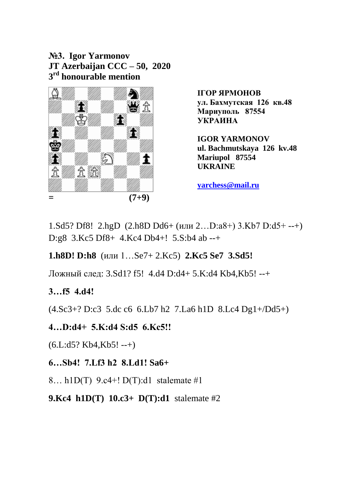**№3. Igor Yarmonov JT Azerbaijan CCC – 50, 2020 3 rd honourable mention**



**IGOR YARMONOV ul. Bachmutskaya 126 kv.48 Mariupol 87554 UKRAINE** 

**[yarchess@mail.ru](mailto:yarchess@mail.ru)** 

1.Sd5? Df8! 2.hgD (2.h8D Dd6+ (или 2…D:a8+) 3.Kb7 D:d5+ --+) D:g8 3.Kc5 Df8+ 4.Kc4 Db4+! 5.S:b4 ab --+

**1.h8D! D:h8** (или 1…Se7+ 2.Kc5) **2.Kc5 Se7 3.Sd5!** 

Ложный след: 3.Sd1? f5! 4.d4 D:d4+ 5.K:d4 Kb4,Kb5! --+

## **3…f5 4.d4!**

(4.Sc3+? D:c3 5.dc c6 6.Lb7 h2 7.La6 h1D 8.Lc4 Dg1+/Dd5+)

**4…D:d4+ 5.K:d4 S:d5 6.Kc5!!** 

 $(6.L:d5? Kb4,Kb5! --+)$ 

**6…Sb4! 7.Lf3 h2 8.Ld1! Sa6+** 

8… h1D(T) 9.c4+! D(T):d1 stalemate #1

**9.Kc4 h1D(T) 10.c3+ D(T):d1** stalemate #2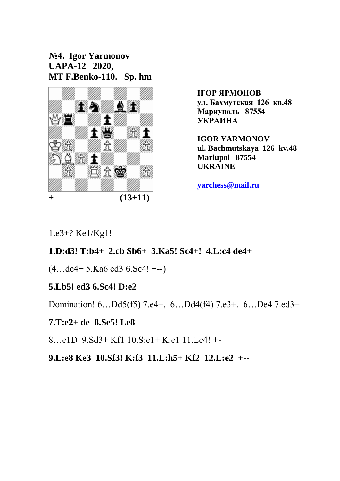**№4. Igor Yarmonov UAPA-12 2020, MT F.Benko-110. Sp. hm**



**IGOR YARMONOV ul. Bachmutskaya 126 kv.48 Mariupol 87554 UKRAINE** 

**[yarchess@mail.ru](mailto:yarchess@mail.ru)** 

1.e3+? Ke1/Kg1!

## **1.D:d3! T:b4+ 2.cb Sb6+ 3.Ka5! Sc4+! 4.L:c4 de4+**

(4…dc4+ 5.Ka6 cd3 6.Sc4! +--)

## **5.Lb5! ed3 6.Sc4! D:e2**

Domination! 6…Dd5(f5) 7.e4+, 6…Dd4(f4) 7.e3+, 6…De4 7.ed3+

#### **7.T:e2+ de 8.Se5! Le8**

8…e1D 9.Sd3+ Kf1 10.S:e1+ K:e1 11.Lc4! +-

**9.L:e8 Ke3 10.Sf3! K:f3 11.L:h5+ Kf2 12.L:e2 +--**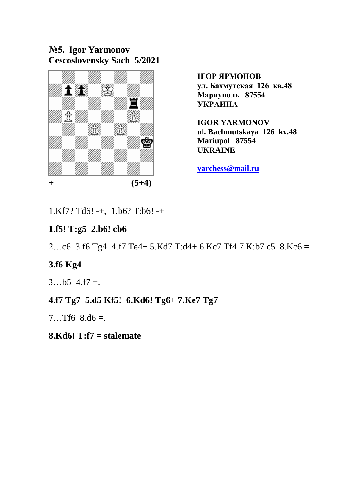**№5. Igor Yarmonov Cescoslovensky Sach 5/2021**



**IGOR YARMONOV ul. Bachmutskaya 126 kv.48 Mariupol 87554 UKRAINE** 

**[yarchess@mail.ru](mailto:yarchess@mail.ru)** 

1.Kf7? Td6! -+, 1.b6? T:b6! -+

## **1.f5! T:g5 2.b6! cb6**

2…c6 3.f6 Tg4 4.f7 Te4+ 5.Kd7 T:d4+ 6.Kc7 Tf4 7.K:b7 c5 8.Kc6 =

#### **3.f6 Kg4**

 $3...b5 4.57 =$ 

## **4.f7 Tg7 5.d5 Kf5! 6.Kd6! Tg6+ 7.Ke7 Tg7**

 $7...Tf6 \ 8. d6 =$ 

#### **8.Kd6! T:f7 = stalemate**